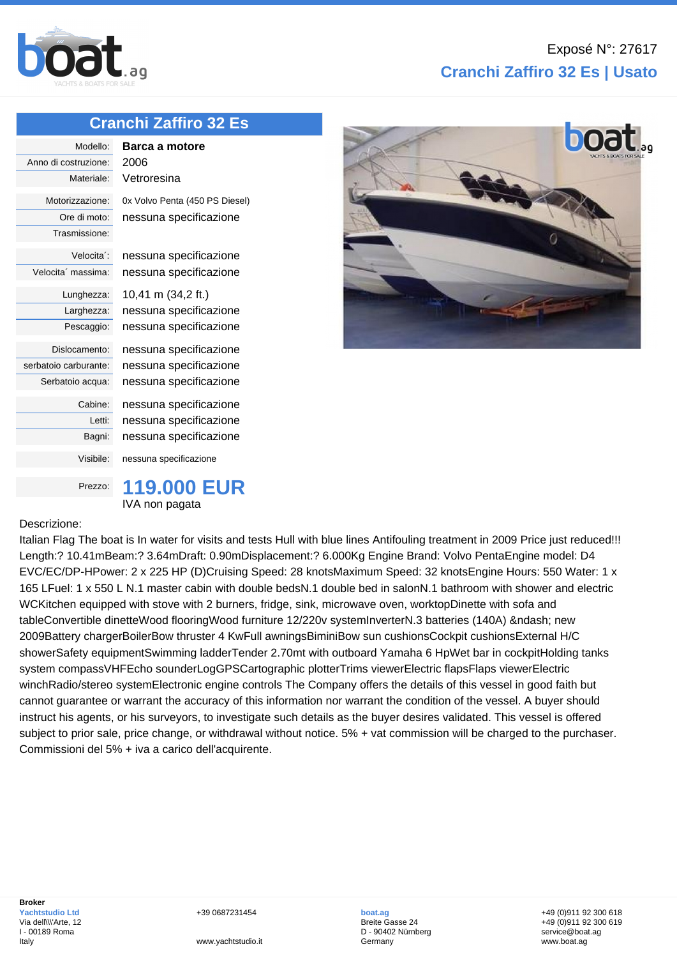

## **Cranchi Zaffiro 32 Es | Usato**

## **[Cranchi](http://www.boat.ag/) Zaffiro 32 Es**

| Modello:              | Barca a motore                 |
|-----------------------|--------------------------------|
| Anno di costruzione:  | 2006                           |
| Materiale:            | Vetroresina                    |
| Motorizzazione:       | 0x Volvo Penta (450 PS Diesel) |
| Ore di moto:          | nessuna specificazione         |
| Trasmissione:         |                                |
| Velocita':            | nessuna specificazione         |
| Velocita massima:     | nessuna specificazione         |
| Lunghezza:            | 10,41 m (34,2 ft.)             |
| Larghezza:            | nessuna specificazione         |
| Pescaggio:            | nessuna specificazione         |
| Dislocamento:         | nessuna specificazione         |
| serbatoio carburante: | nessuna specificazione         |
| Serbatoio acqua:      | nessuna specificazione         |
| Cabine:               | nessuna specificazione         |
| Letti:                | nessuna specificazione         |
| Bagni:                | nessuna specificazione         |
| Visibile:             | nessuna specificazione         |
| Prezzo:               | <b>119,000 EUR</b>             |



## Descrizione:

**Broker**

Italy

Italian Flag The boat is In water for visits and tests Hull with blue lines Antifouling treatment in 2009 Price just reduced!!! Length:? 10.41mBeam:? 3.64mDraft: 0.90mDisplacement:? 6.000Kg Engine Brand: Volvo PentaEngine model: D4 EVC/EC/DP-HPower: 2 x 225 HP (D)Cruising Speed: 28 knotsMaximum Speed: 32 knotsEngine Hours: 550 Water: 1 x 165 LFuel: 1 x 550 L N.1 master cabin with double bedsN.1 double bed in salonN.1 bathroom with shower and electric WCKitchen equipped with stove with 2 burners, fridge, sink, microwave oven, worktopDinette with sofa and tableConvertible dinetteWood flooringWood furniture 12/220v systemInverterN.3 batteries (140A) – new 2009Battery chargerBoilerBow thruster 4 KwFull awningsBiminiBow sun cushionsCockpit cushionsExternal H/C showerSafety equipmentSwimming ladderTender 2.70mt with outboard Yamaha 6 HpWet bar in cockpitHolding tanks system compassVHFEcho sounderLogGPSCartographic plotterTrims viewerElectric flapsFlaps viewerElectric winchRadio/stereo systemElectronic engine controls The Company offers the details of this vessel in good faith but cannot guarantee or warrant the accuracy of this information nor warrant the condition of the vessel. A buyer should instruct his agents, or his surveyors, to investigate such details as the buyer desires validated. This vessel is offered subject to prior sale, price change, or withdrawal without notice. 5% + vat commission will be charged to the purchaser. Commissioni del 5% + iva a carico dell'acquirente.



+39 0687231454

**boat.ag** Breite Gasse 24 D - 90402 Nürnberg Germany

+49 (0)911 92 300 618 +49 (0)911 92 300 619 service@boat.ag www.boat.ag

www.yachtstudio.it